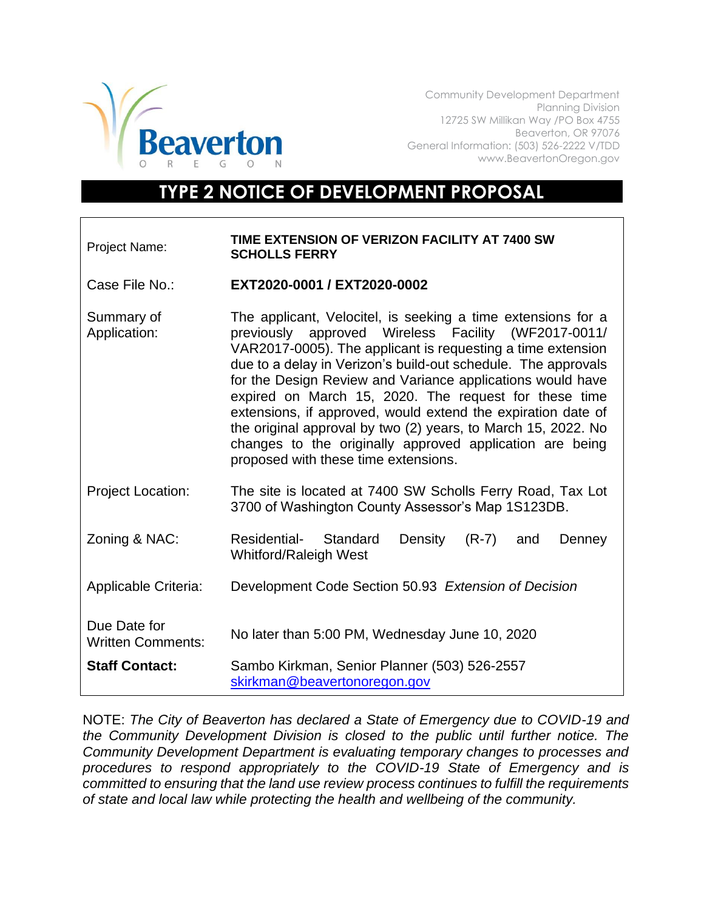

Community Development Department Planning Division 12725 SW Millikan Way /PO Box 4755 Beaverton, OR 97076 General Information: (503) 526-2222 V/TDD www.BeavertonOregon.gov

## **TYPE 2 NOTICE OF DEVELOPMENT PROPOSAL**

## Project Name: **TIME EXTENSION OF VERIZON FACILITY AT 7400 SW SCHOLLS FERRY**

Case File No.: **EXT2020-0001 / EXT2020-0002**

- Summary of Application: The applicant, Velocitel, is seeking a time extensions for a previously approved Wireless Facility (WF2017-0011/ VAR2017-0005). The applicant is requesting a time extension due to a delay in Verizon's build-out schedule. The approvals for the Design Review and Variance applications would have expired on March 15, 2020. The request for these time extensions, if approved, would extend the expiration date of the original approval by two (2) years, to March 15, 2022. No changes to the originally approved application are being proposed with these time extensions.
- Project Location: The site is located at 7400 SW Scholls Ferry Road, Tax Lot 3700 of Washington County Assessor's Map 1S123DB.
- Zoning & NAC: Residential- Standard Density (R-7) and Denney Whitford/Raleigh West
- Applicable Criteria: Development Code Section 50.93 *Extension of Decision*
- Due Date for Written Comments: No later than 5:00 PM, Wednesday June 10, 2020 **Staff Contact:** Sambo Kirkman, Senior Planner (503) 526-2557 [skirkman@beavertonoregon.gov](mailto:skirkman@beavertonoregon.gov)

NOTE: *The City of Beaverton has declared a State of Emergency due to COVID-19 and the Community Development Division is closed to the public until further notice. The Community Development Department is evaluating temporary changes to processes and procedures to respond appropriately to the COVID-19 State of Emergency and is committed to ensuring that the land use review process continues to fulfill the requirements of state and local law while protecting the health and wellbeing of the community.*